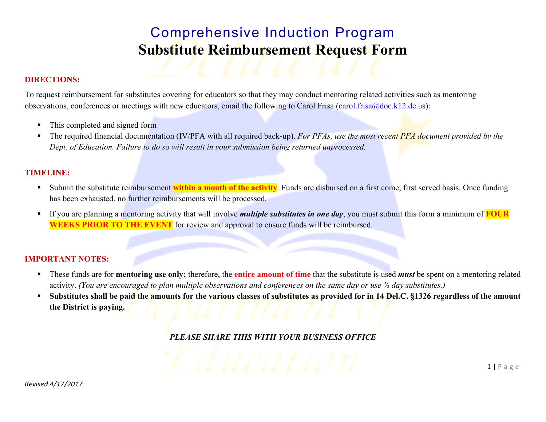## Comprehensive Induction Program **Substitute Reimbursement Request Form**

### **DIRECTIONS:**

To request reimbursement for substitutes covering for educators so that they may conduct mentoring related activities such as mentoring observations, conferences or meetings with new educators, email the following to Carol Frisa (carol.frisa@doe.k12.de.us):

- This completed and signed form
- The required financial documentation (IV/PFA with all required back-up). *For PFAs, use the most recent PFA document provided by the Dept. of Education. Failure to do so will result in your submission being returned unprocessed.*

### **TIMELINE:**

- **Submit the substitute reimbursement within a month of the activity**. Funds are disbursed on a first come, first served basis. Once funding has been exhausted, no further reimbursements will be processed.
- If you are planning a mentoring activity that will involve *multiple substitutes in one day*, you must submit this form a minimum of **FOUR WEEKS PRIOR TO THE EVENT** for review and approval to ensure funds will be reimbursed.

#### **IMPORTANT NOTES:**

- These funds are for **mentoring use only;** therefore, the **entire amount of time** that the substitute is used *must* be spent on a mentoring related activity. *(You are encouraged to plan multiple observations and conferences on the same day or use ½ day substitutes.)*
- **Substitutes shall be paid the amounts for the various classes of substitutes as provided for in 14 Del.C. §1326 regardless of the amount the District is paying.**

 $1 | P \text{age}$ 

*PLEASE SHARE THIS WITH YOUR BUSINESS OFFICE*

*F.d.ucation*